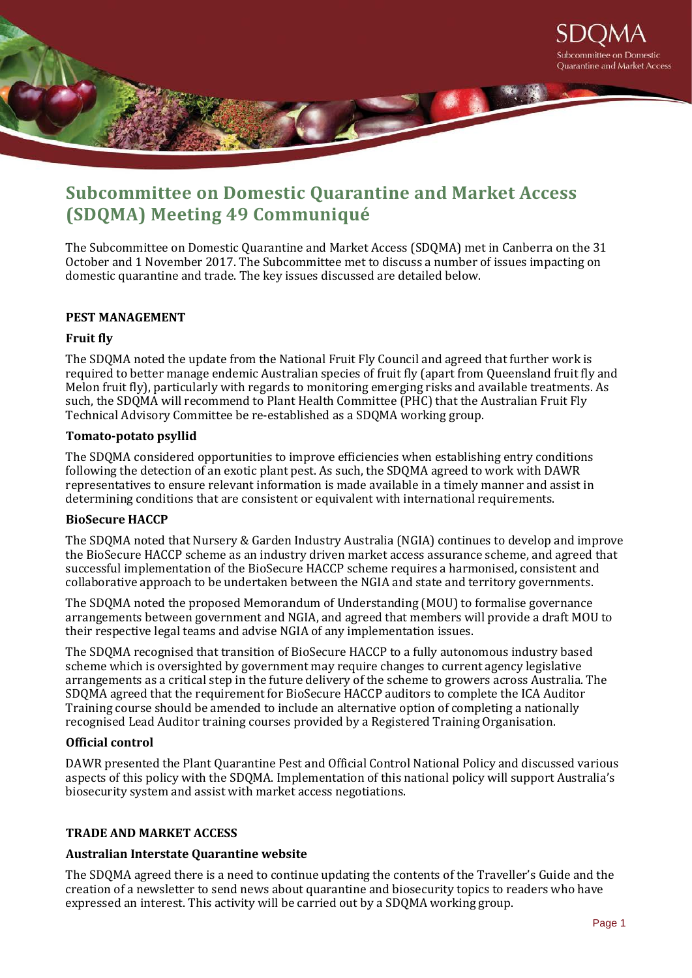

# **Subcommittee on Domestic Quarantine and Market Access (SDQMA) Meeting 49 Communiqué**

The Subcommittee on Domestic Quarantine and Market Access (SDQMA) met in Canberra on the 31 October and 1 November 2017. The Subcommittee met to discuss a number of issues impacting on domestic quarantine and trade. The key issues discussed are detailed below.

# **PEST MANAGEMENT**

# **Fruit fly**

The SDQMA noted the update from the National Fruit Fly Council and agreed that further work is required to better manage endemic Australian species of fruit fly (apart from Queensland fruit fly and Melon fruit fly), particularly with regards to monitoring emerging risks and available treatments. As such, the SDQMA will recommend to Plant Health Committee (PHC) that the Australian Fruit Fly Technical Advisory Committee be re-established as a SDQMA working group.

# **Tomato-potato psyllid**

The SDQMA considered opportunities to improve efficiencies when establishing entry conditions following the detection of an exotic plant pest. As such, the SDQMA agreed to work with DAWR representatives to ensure relevant information is made available in a timely manner and assist in determining conditions that are consistent or equivalent with international requirements.

# **BioSecure HACCP**

The SDQMA noted that Nursery & Garden Industry Australia (NGIA) continues to develop and improve the BioSecure HACCP scheme as an industry driven market access assurance scheme, and agreed that successful implementation of the BioSecure HACCP scheme requires a harmonised, consistent and collaborative approach to be undertaken between the NGIA and state and territory governments.

The SDQMA noted the proposed Memorandum of Understanding (MOU) to formalise governance arrangements between government and NGIA, and agreed that members will provide a draft MOU to their respective legal teams and advise NGIA of any implementation issues.

The SDQMA recognised that transition of BioSecure HACCP to a fully autonomous industry based scheme which is oversighted by government may require changes to current agency legislative arrangements as a critical step in the future delivery of the scheme to growers across Australia. The SDQMA agreed that the requirement for BioSecure HACCP auditors to complete the ICA Auditor Training course should be amended to include an alternative option of completing a nationally recognised Lead Auditor training courses provided by a Registered Training Organisation.

# **Official control**

DAWR presented the Plant Quarantine Pest and Official Control National Policy and discussed various aspects of this policy with the SDQMA. Implementation of this national policy will support Australia's biosecurity system and assist with market access negotiations.

# **TRADE AND MARKET ACCESS**

# **Australian Interstate Quarantine website**

The SDQMA agreed there is a need to continue updating the contents of the Traveller's Guide and the creation of a newsletter to send news about quarantine and biosecurity topics to readers who have expressed an interest. This activity will be carried out by a SDQMA working group.